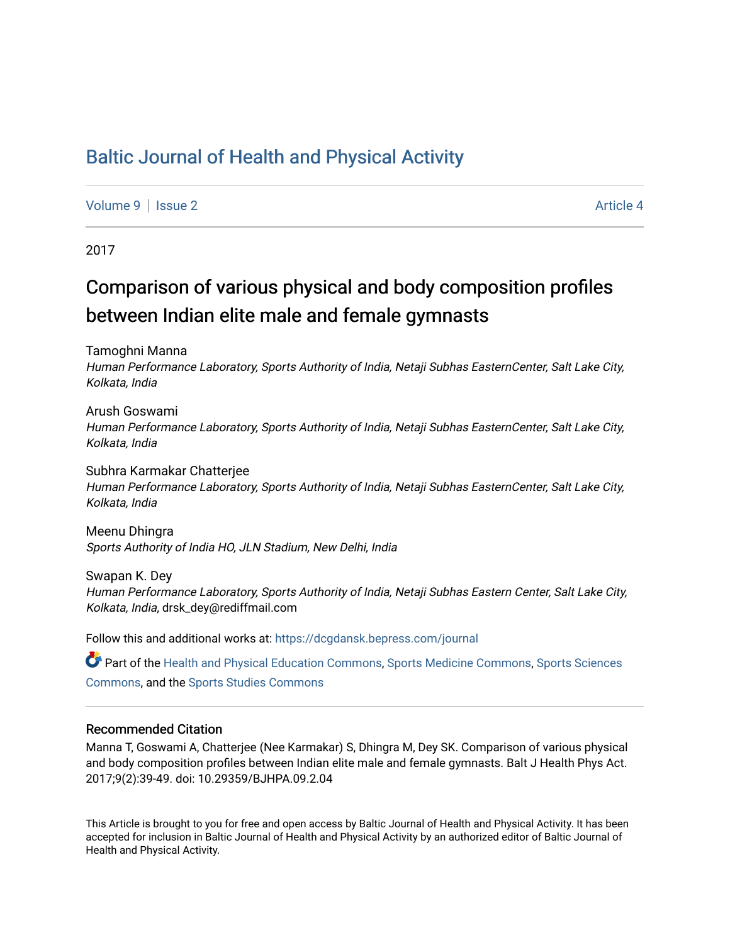## [Baltic Journal of Health and Physical Activity](https://dcgdansk.bepress.com/journal)

[Volume 9](https://dcgdansk.bepress.com/journal/vol9) | [Issue 2](https://dcgdansk.bepress.com/journal/vol9/iss2) Article 4

2017

# Comparison of various physical and body composition profiles between Indian elite male and female gymnasts

Tamoghni Manna

Human Performance Laboratory, Sports Authority of India, Netaji Subhas EasternCenter, Salt Lake City, Kolkata, India

Arush Goswami Human Performance Laboratory, Sports Authority of India, Netaji Subhas EasternCenter, Salt Lake City, Kolkata, India

Subhra Karmakar Chatterjee Human Performance Laboratory, Sports Authority of India, Netaji Subhas EasternCenter, Salt Lake City, Kolkata, India

Meenu Dhingra Sports Authority of India HO, JLN Stadium, New Delhi, India

Swapan K. Dey Human Performance Laboratory, Sports Authority of India, Netaji Subhas Eastern Center, Salt Lake City, Kolkata, India, drsk\_dey@rediffmail.com

Follow this and additional works at: [https://dcgdansk.bepress.com/journal](https://dcgdansk.bepress.com/journal?utm_source=dcgdansk.bepress.com%2Fjournal%2Fvol9%2Fiss2%2F4&utm_medium=PDF&utm_campaign=PDFCoverPages)

Part of the [Health and Physical Education Commons](http://network.bepress.com/hgg/discipline/1327?utm_source=dcgdansk.bepress.com%2Fjournal%2Fvol9%2Fiss2%2F4&utm_medium=PDF&utm_campaign=PDFCoverPages), [Sports Medicine Commons,](http://network.bepress.com/hgg/discipline/1331?utm_source=dcgdansk.bepress.com%2Fjournal%2Fvol9%2Fiss2%2F4&utm_medium=PDF&utm_campaign=PDFCoverPages) [Sports Sciences](http://network.bepress.com/hgg/discipline/759?utm_source=dcgdansk.bepress.com%2Fjournal%2Fvol9%2Fiss2%2F4&utm_medium=PDF&utm_campaign=PDFCoverPages) [Commons](http://network.bepress.com/hgg/discipline/759?utm_source=dcgdansk.bepress.com%2Fjournal%2Fvol9%2Fiss2%2F4&utm_medium=PDF&utm_campaign=PDFCoverPages), and the [Sports Studies Commons](http://network.bepress.com/hgg/discipline/1198?utm_source=dcgdansk.bepress.com%2Fjournal%2Fvol9%2Fiss2%2F4&utm_medium=PDF&utm_campaign=PDFCoverPages) 

#### Recommended Citation

Manna T, Goswami A, Chatterjee (Nee Karmakar) S, Dhingra M, Dey SK. Comparison of various physical and body composition profiles between Indian elite male and female gymnasts. Balt J Health Phys Act. 2017;9(2):39-49. doi: 10.29359/BJHPA.09.2.04

This Article is brought to you for free and open access by Baltic Journal of Health and Physical Activity. It has been accepted for inclusion in Baltic Journal of Health and Physical Activity by an authorized editor of Baltic Journal of Health and Physical Activity.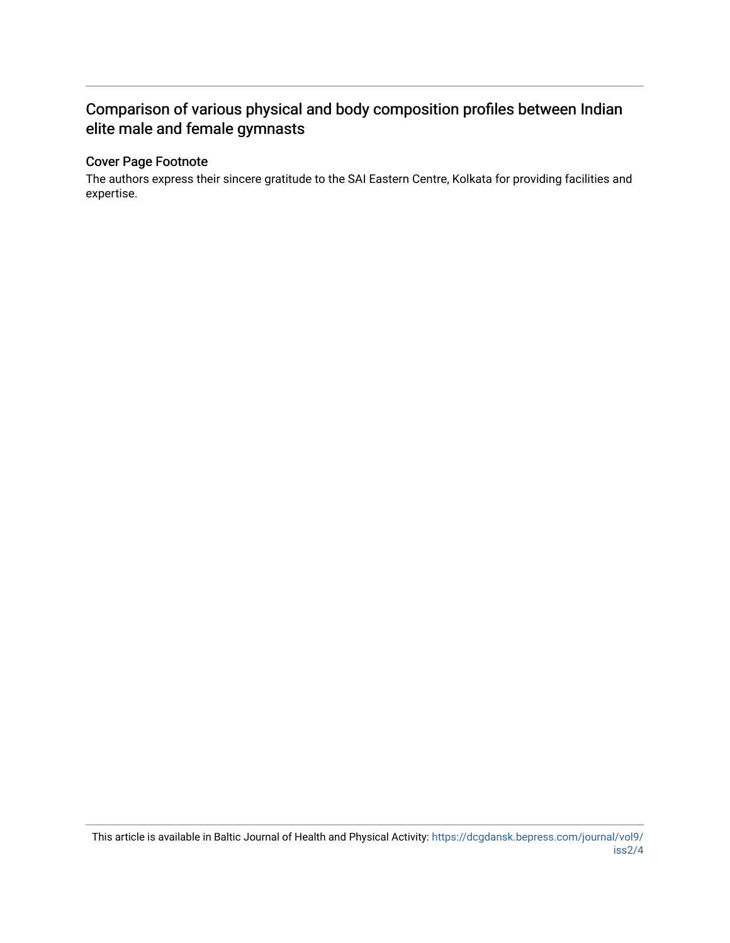## Comparison of various physical and body composition profiles between Indian elite male and female gymnasts

## Cover Page Footnote

The authors express their sincere gratitude to the SAI Eastern Centre, Kolkata for providing facilities and expertise.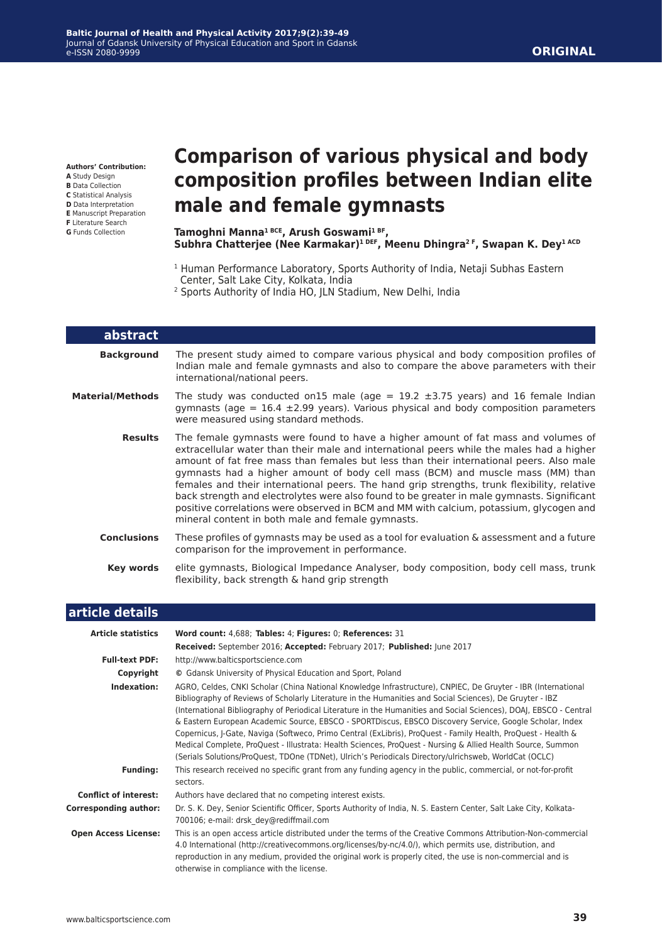**Authors' Contribution:**

- **A** Study Design
- **B** Data Collection
- **C** Statistical Analysis **D** Data Interpretation
- **E** Manuscript Preparation
- **F** Literature Search

**G** Funds Collection

L

# **Comparison of various physical and body composition profiles between Indian elite male and female gymnasts**

#### **Tamoghni Manna1 BCE, Arush Goswami1 BF, Subhra Chatterjee (Nee Karmakar)1 DEF, Meenu Dhingra2 F, Swapan K. Dey1 ACD**

- <sup>1</sup> Human Performance Laboratory, Sports Authority of India, Netaji Subhas Eastern Center, Salt Lake City, Kolkata, India
- 2 Sports Authority of India HO, JLN Stadium, New Delhi, India

| abstract                |                                                                                                                                                                                                                                                                                                                                                                                                                                                                                                                                                                                                                                                                                                         |
|-------------------------|---------------------------------------------------------------------------------------------------------------------------------------------------------------------------------------------------------------------------------------------------------------------------------------------------------------------------------------------------------------------------------------------------------------------------------------------------------------------------------------------------------------------------------------------------------------------------------------------------------------------------------------------------------------------------------------------------------|
| <b>Background</b>       | The present study aimed to compare various physical and body composition profiles of<br>Indian male and female gymnasts and also to compare the above parameters with their<br>international/national peers.                                                                                                                                                                                                                                                                                                                                                                                                                                                                                            |
| <b>Material/Methods</b> | The study was conducted on 15 male (age = $19.2 \pm 3.75$ years) and 16 female Indian<br>gymnasts (age = $16.4 \pm 2.99$ years). Various physical and body composition parameters<br>were measured using standard methods.                                                                                                                                                                                                                                                                                                                                                                                                                                                                              |
| <b>Results</b>          | The female gymnasts were found to have a higher amount of fat mass and volumes of<br>extracellular water than their male and international peers while the males had a higher<br>amount of fat free mass than females but less than their international peers. Also male<br>gymnasts had a higher amount of body cell mass (BCM) and muscle mass (MM) than<br>females and their international peers. The hand grip strengths, trunk flexibility, relative<br>back strength and electrolytes were also found to be greater in male gymnasts. Significant<br>positive correlations were observed in BCM and MM with calcium, potassium, glycogen and<br>mineral content in both male and female gymnasts. |
| <b>Conclusions</b>      | These profiles of gymnasts may be used as a tool for evaluation $\&$ assessment and a future<br>comparison for the improvement in performance.                                                                                                                                                                                                                                                                                                                                                                                                                                                                                                                                                          |
| Key words               | elite gymnasts, Biological Impedance Analyser, body composition, body cell mass, trunk<br>flexibility, back strength & hand grip strength                                                                                                                                                                                                                                                                                                                                                                                                                                                                                                                                                               |
|                         |                                                                                                                                                                                                                                                                                                                                                                                                                                                                                                                                                                                                                                                                                                         |

| article details                                                                                                                                                                                                                                                                                                                                                                                                                                                                                                                                                                                                                                                                                                                                                                                                     |                                                                                                                                                                                                                                                                                                                                                                                      |  |  |  |
|---------------------------------------------------------------------------------------------------------------------------------------------------------------------------------------------------------------------------------------------------------------------------------------------------------------------------------------------------------------------------------------------------------------------------------------------------------------------------------------------------------------------------------------------------------------------------------------------------------------------------------------------------------------------------------------------------------------------------------------------------------------------------------------------------------------------|--------------------------------------------------------------------------------------------------------------------------------------------------------------------------------------------------------------------------------------------------------------------------------------------------------------------------------------------------------------------------------------|--|--|--|
| <b>Article statistics</b>                                                                                                                                                                                                                                                                                                                                                                                                                                                                                                                                                                                                                                                                                                                                                                                           | Word count: 4,688; Tables: 4; Figures: 0; References: 31                                                                                                                                                                                                                                                                                                                             |  |  |  |
|                                                                                                                                                                                                                                                                                                                                                                                                                                                                                                                                                                                                                                                                                                                                                                                                                     | Received: September 2016; Accepted: February 2017; Published: June 2017                                                                                                                                                                                                                                                                                                              |  |  |  |
| <b>Full-text PDF:</b>                                                                                                                                                                                                                                                                                                                                                                                                                                                                                                                                                                                                                                                                                                                                                                                               | http://www.balticsportscience.com                                                                                                                                                                                                                                                                                                                                                    |  |  |  |
| Copyright                                                                                                                                                                                                                                                                                                                                                                                                                                                                                                                                                                                                                                                                                                                                                                                                           | © Gdansk University of Physical Education and Sport, Poland                                                                                                                                                                                                                                                                                                                          |  |  |  |
| AGRO, Celdes, CNKI Scholar (China National Knowledge Infrastructure), CNPIEC, De Gruyter - IBR (International<br>Indexation:<br>Bibliography of Reviews of Scholarly Literature in the Humanities and Social Sciences), De Gruyter - IBZ<br>(International Bibliography of Periodical Literature in the Humanities and Social Sciences), DOAJ, EBSCO - Central<br>& Eastern European Academic Source, EBSCO - SPORTDiscus, EBSCO Discovery Service, Google Scholar, Index<br>Copernicus, J-Gate, Naviga (Softweco, Primo Central (ExLibris), ProQuest - Family Health, ProQuest - Health &<br>Medical Complete, ProQuest - Illustrata: Health Sciences, ProQuest - Nursing & Allied Health Source, Summon<br>(Serials Solutions/ProQuest, TDOne (TDNet), Ulrich's Periodicals Directory/ulrichsweb, WorldCat (OCLC) |                                                                                                                                                                                                                                                                                                                                                                                      |  |  |  |
| <b>Funding:</b>                                                                                                                                                                                                                                                                                                                                                                                                                                                                                                                                                                                                                                                                                                                                                                                                     | This research received no specific grant from any funding agency in the public, commercial, or not-for-profit<br>sectors.                                                                                                                                                                                                                                                            |  |  |  |
| <b>Conflict of interest:</b>                                                                                                                                                                                                                                                                                                                                                                                                                                                                                                                                                                                                                                                                                                                                                                                        | Authors have declared that no competing interest exists.                                                                                                                                                                                                                                                                                                                             |  |  |  |
| <b>Corresponding author:</b>                                                                                                                                                                                                                                                                                                                                                                                                                                                                                                                                                                                                                                                                                                                                                                                        | Dr. S. K. Dey, Senior Scientific Officer, Sports Authority of India, N. S. Eastern Center, Salt Lake City, Kolkata-<br>700106; e-mail: drsk dey@rediffmail.com                                                                                                                                                                                                                       |  |  |  |
| <b>Open Access License:</b>                                                                                                                                                                                                                                                                                                                                                                                                                                                                                                                                                                                                                                                                                                                                                                                         | This is an open access article distributed under the terms of the Creative Commons Attribution-Non-commercial<br>4.0 International (http://creativecommons.org/licenses/by-nc/4.0/), which permits use, distribution, and<br>reproduction in any medium, provided the original work is properly cited, the use is non-commercial and is<br>otherwise in compliance with the license. |  |  |  |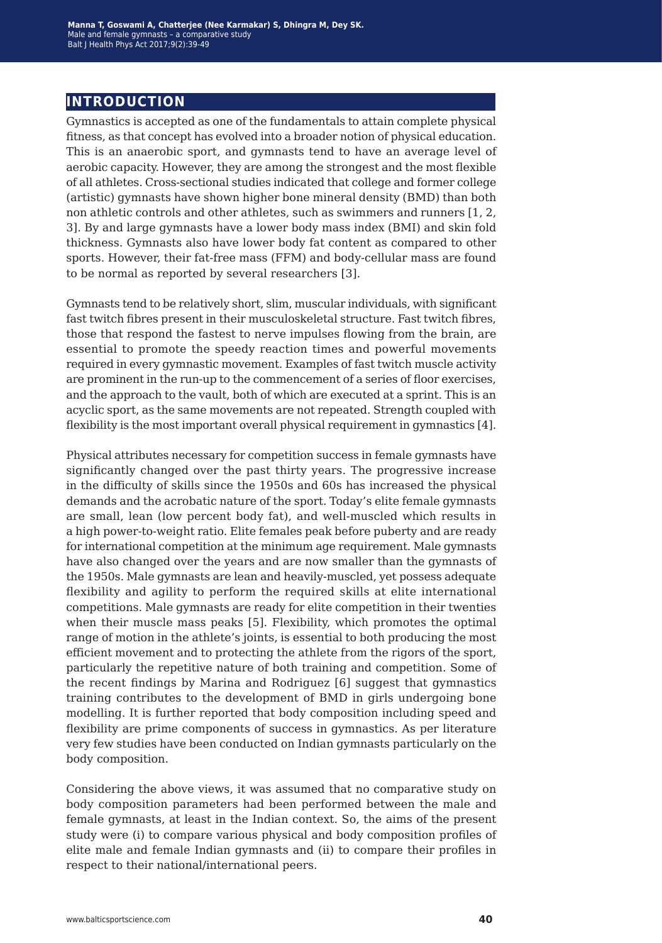## **introduction**

Gymnastics is accepted as one of the fundamentals to attain complete physical fitness, as that concept has evolved into a broader notion of physical education. This is an anaerobic sport, and gymnasts tend to have an average level of aerobic capacity. However, they are among the strongest and the most flexible of all athletes. Cross-sectional studies indicated that college and former college (artistic) gymnasts have shown higher bone mineral density (BMD) than both non athletic controls and other athletes, such as swimmers and runners [1, 2, 3]. By and large gymnasts have a lower body mass index (BMI) and skin fold thickness. Gymnasts also have lower body fat content as compared to other sports. However, their fat-free mass (FFM) and body-cellular mass are found to be normal as reported by several researchers [3].

Gymnasts tend to be relatively short, slim, muscular individuals, with significant fast twitch fibres present in their musculoskeletal structure. Fast twitch fibres, those that respond the fastest to nerve impulses flowing from the brain, are essential to promote the speedy reaction times and powerful movements required in every gymnastic movement. Examples of fast twitch muscle activity are prominent in the run-up to the commencement of a series of floor exercises, and the approach to the vault, both of which are executed at a sprint. This is an acyclic sport, as the same movements are not repeated. Strength coupled with flexibility is the most important overall physical requirement in gymnastics [4].

Physical attributes necessary for competition success in female gymnasts have significantly changed over the past thirty years. The progressive increase in the difficulty of skills since the 1950s and 60s has increased the physical demands and the acrobatic nature of the sport. Today's elite female gymnasts are small, lean (low percent body fat), and well-muscled which results in a high power-to-weight ratio. Elite females peak before puberty and are ready for international competition at the minimum age requirement. Male gymnasts have also changed over the years and are now smaller than the gymnasts of the 1950s. Male gymnasts are lean and heavily-muscled, yet possess adequate flexibility and agility to perform the required skills at elite international competitions. Male gymnasts are ready for elite competition in their twenties when their muscle mass peaks [5]. Flexibility, which promotes the optimal range of motion in the athlete's joints, is essential to both producing the most efficient movement and to protecting the athlete from the rigors of the sport, particularly the repetitive nature of both training and competition. Some of the recent findings by Marina and Rodriguez [6] suggest that gymnastics training contributes to the development of BMD in girls undergoing bone modelling. It is further reported that body composition including speed and flexibility are prime components of success in gymnastics. As per literature very few studies have been conducted on Indian gymnasts particularly on the body composition.

Considering the above views, it was assumed that no comparative study on body composition parameters had been performed between the male and female gymnasts, at least in the Indian context. So, the aims of the present study were (i) to compare various physical and body composition profiles of elite male and female Indian gymnasts and (ii) to compare their profiles in respect to their national/international peers.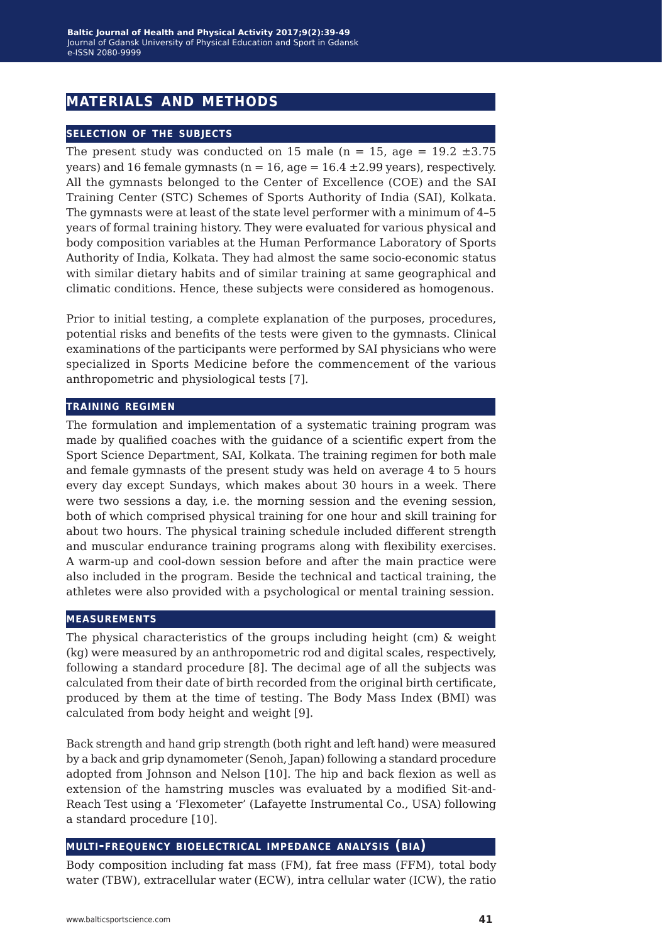## **materials and methods**

#### **selection of the subjects**

The present study was conducted on 15 male ( $n = 15$ , age = 19.2  $\pm 3.75$ ) years) and 16 female gymnasts ( $n = 16$ , age = 16.4  $\pm$ 2.99 years), respectively. All the gymnasts belonged to the Center of Excellence (COE) and the SAI Training Center (STC) Schemes of Sports Authority of India (SAI), Kolkata. The gymnasts were at least of the state level performer with a minimum of 4–5 years of formal training history. They were evaluated for various physical and body composition variables at the Human Performance Laboratory of Sports Authority of India, Kolkata. They had almost the same socio-economic status with similar dietary habits and of similar training at same geographical and climatic conditions. Hence, these subjects were considered as homogenous.

Prior to initial testing, a complete explanation of the purposes, procedures, potential risks and benefits of the tests were given to the gymnasts. Clinical examinations of the participants were performed by SAI physicians who were specialized in Sports Medicine before the commencement of the various anthropometric and physiological tests [7].

#### **training regimen**

The formulation and implementation of a systematic training program was made by qualified coaches with the guidance of a scientific expert from the Sport Science Department, SAI, Kolkata. The training regimen for both male and female gymnasts of the present study was held on average 4 to 5 hours every day except Sundays, which makes about 30 hours in a week. There were two sessions a day, i.e. the morning session and the evening session, both of which comprised physical training for one hour and skill training for about two hours. The physical training schedule included different strength and muscular endurance training programs along with flexibility exercises. A warm-up and cool-down session before and after the main practice were also included in the program. Beside the technical and tactical training, the athletes were also provided with a psychological or mental training session.

#### **measurements**

The physical characteristics of the groups including height (cm) & weight (kg) were measured by an anthropometric rod and digital scales, respectively, following a standard procedure [8]. The decimal age of all the subjects was calculated from their date of birth recorded from the original birth certificate, produced by them at the time of testing. The Body Mass Index (BMI) was calculated from body height and weight [9].

Back strength and hand grip strength (both right and left hand) were measured by a back and grip dynamometer (Senoh, Japan) following a standard procedure adopted from Johnson and Nelson [10]. The hip and back flexion as well as extension of the hamstring muscles was evaluated by a modified Sit-and-Reach Test using a 'Flexometer' (Lafayette Instrumental Co., USA) following a standard procedure [10].

#### **multi-frequency bioelectrical impedance analysis (bia)**

Body composition including fat mass (FM), fat free mass (FFM), total body water (TBW), extracellular water (ECW), intra cellular water (ICW), the ratio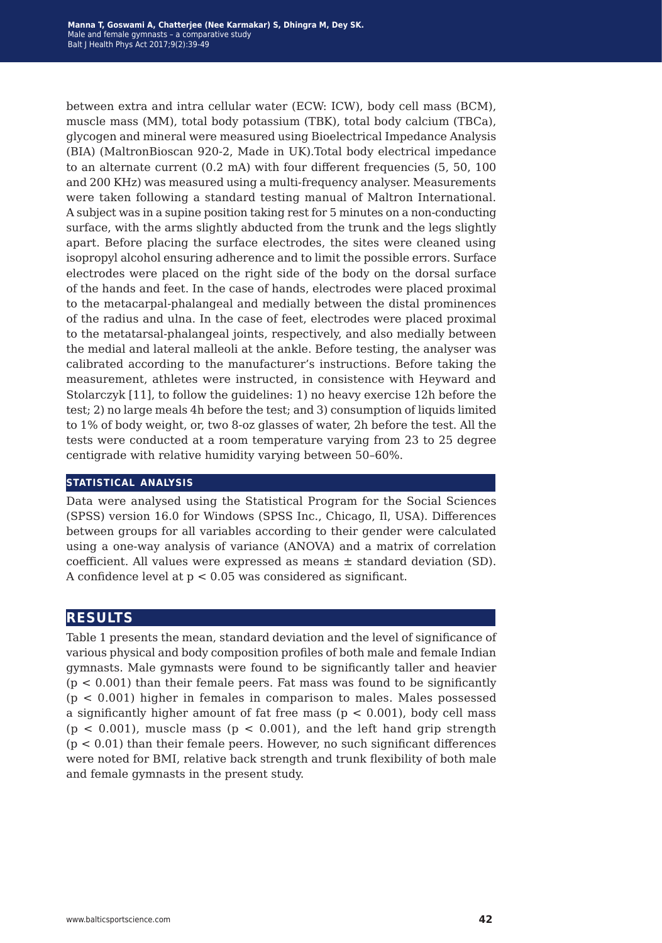between extra and intra cellular water (ECW: ICW), body cell mass (BCM), muscle mass (MM), total body potassium (TBK), total body calcium (TBCa), glycogen and mineral were measured using Bioelectrical Impedance Analysis (BIA) (MaltronBioscan 920-2, Made in UK).Total body electrical impedance to an alternate current (0.2 mA) with four different frequencies (5, 50, 100 and 200 KHz) was measured using a multi-frequency analyser. Measurements were taken following a standard testing manual of Maltron International. A subject was in a supine position taking rest for 5 minutes on a non-conducting surface, with the arms slightly abducted from the trunk and the legs slightly apart. Before placing the surface electrodes, the sites were cleaned using isopropyl alcohol ensuring adherence and to limit the possible errors. Surface electrodes were placed on the right side of the body on the dorsal surface of the hands and feet. In the case of hands, electrodes were placed proximal to the metacarpal-phalangeal and medially between the distal prominences of the radius and ulna. In the case of feet, electrodes were placed proximal to the metatarsal-phalangeal joints, respectively, and also medially between the medial and lateral malleoli at the ankle. Before testing, the analyser was calibrated according to the manufacturer's instructions. Before taking the measurement, athletes were instructed, in consistence with Heyward and Stolarczyk [11], to follow the guidelines: 1) no heavy exercise 12h before the test; 2) no large meals 4h before the test; and 3) consumption of liquids limited to 1% of body weight, or, two 8-oz glasses of water, 2h before the test. All the tests were conducted at a room temperature varying from 23 to 25 degree centigrade with relative humidity varying between 50–60%.

#### **statistical analysis**

Data were analysed using the Statistical Program for the Social Sciences (SPSS) version 16.0 for Windows (SPSS Inc., Chicago, Il, USA). Differences between groups for all variables according to their gender were calculated using a one-way analysis of variance (ANOVA) and a matrix of correlation coefficient. All values were expressed as means  $\pm$  standard deviation (SD). A confidence level at p < 0.05 was considered as significant.

## **results**

Table 1 presents the mean, standard deviation and the level of significance of various physical and body composition profiles of both male and female Indian gymnasts. Male gymnasts were found to be significantly taller and heavier  $(p < 0.001)$  than their female peers. Fat mass was found to be significantly  $(p < 0.001)$  higher in females in comparison to males. Males possessed a significantly higher amount of fat free mass ( $p < 0.001$ ), body cell mass  $(p < 0.001)$ , muscle mass  $(p < 0.001)$ , and the left hand grip strength  $(p < 0.01)$  than their female peers. However, no such significant differences were noted for BMI, relative back strength and trunk flexibility of both male and female gymnasts in the present study.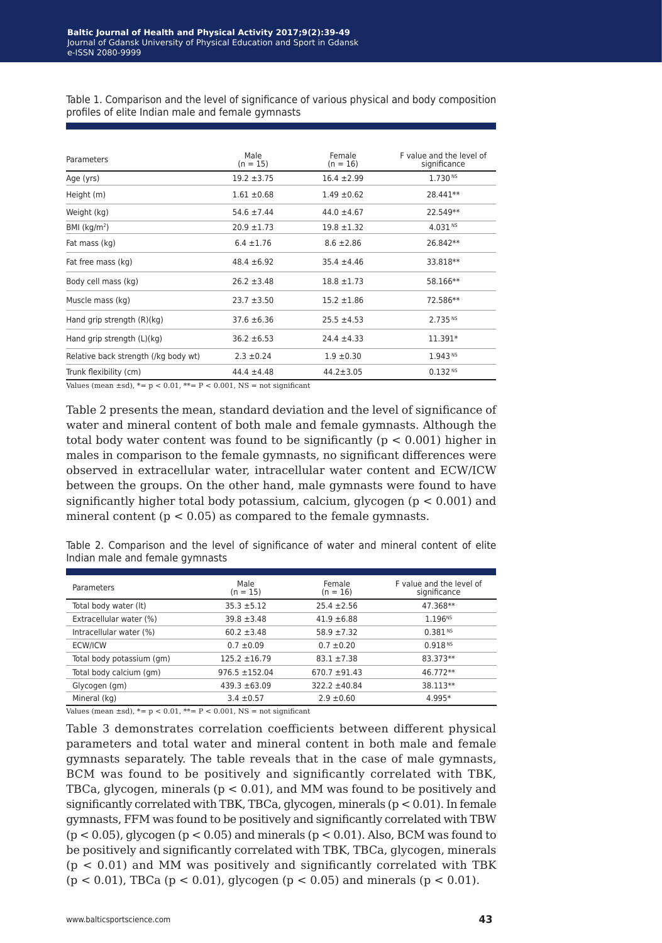Table 1. Comparison and the level of significance of various physical and body composition profiles of elite Indian male and female gymnasts

| Parameters                           | Male<br>$(n = 15)$ | Female<br>$(n = 16)$ | F value and the level of<br>significance |
|--------------------------------------|--------------------|----------------------|------------------------------------------|
| Age (yrs)                            | $19.2 \pm 3.75$    | $16.4 \pm 2.99$      | 1.730 <sup>NS</sup>                      |
| Height (m)                           | $1.61 \pm 0.68$    | $1.49 \pm 0.62$      | 28.441**                                 |
| Weight (kg)                          | $54.6 \pm 7.44$    | $44.0 \pm 4.67$      | 22.549**                                 |
| BMI $(kq/m2)$                        | $20.9 \pm 1.73$    | $19.8 \pm 1.32$      | 4.031 <sup>NS</sup>                      |
| Fat mass (kg)                        | $6.4 \pm 1.76$     | $8.6 \pm 2.86$       | 26.842**                                 |
| Fat free mass (kg)                   | $48.4 \pm 6.92$    | $35.4 \pm 4.46$      | 33.818**                                 |
| Body cell mass (kg)                  | $26.2 \pm 3.48$    | $18.8 \pm 1.73$      | 58.166**                                 |
| Muscle mass (kg)                     | $23.7 + 3.50$      | $15.2 \pm 1.86$      | 72.586**                                 |
| Hand grip strength (R)(kg)           | $37.6 \pm 6.36$    | $25.5 \pm 4.53$      | 2.735 <sup>NS</sup>                      |
| Hand grip strength (L)(kg)           | $36.2 \pm 6.53$    | $24.4 \pm 4.33$      | 11.391*                                  |
| Relative back strength (/kg body wt) | $2.3 \pm 0.24$     | $1.9 \pm 0.30$       | 1.943 <sup>NS</sup>                      |
| Trunk flexibility (cm)               | $44.4 \pm 4.48$    | $44.2 \pm 3.05$      | 0.132 N                                  |

Values (mean  $\pm$ sd),  $*= p < 0.01$ ,  $** = P < 0.001$ , NS = not significant

Table 2 presents the mean, standard deviation and the level of significance of water and mineral content of both male and female gymnasts. Although the total body water content was found to be significantly ( $p < 0.001$ ) higher in males in comparison to the female gymnasts, no significant differences were observed in extracellular water, intracellular water content and ECW/ICW between the groups. On the other hand, male gymnasts were found to have significantly higher total body potassium, calcium, glycogen ( $p < 0.001$ ) and mineral content ( $p < 0.05$ ) as compared to the female gymnasts.

Table 2. Comparison and the level of significance of water and mineral content of elite Indian male and female gymnasts

| Parameters                | Male<br>$(n = 15)$ | Female<br>$(n = 16)$ | F value and the level of<br>significance |
|---------------------------|--------------------|----------------------|------------------------------------------|
| Total body water (It)     | $35.3 + 5.12$      | $25.4 \pm 2.56$      | 47.368**                                 |
| Extracellular water (%)   | $39.8 \pm 3.48$    | $41.9 \pm 6.88$      | 1.196 <sup>NS</sup>                      |
| Intracellular water (%)   | $60.2 \pm 3.48$    | $58.9 + 7.32$        | $0.381$ NS                               |
| ECW/ICW                   | $0.7 \pm 0.09$     | $0.7 \pm 0.20$       | 0.918 N                                  |
| Total body potassium (gm) | $125.2 \pm 16.79$  | $83.1 + 7.38$        | 83.373**                                 |
| Total body calcium (gm)   | $976.5 \pm 152.04$ | $670.7 + 91.43$      | 46.772**                                 |
| Glycogen (gm)             | $439.3 \pm 63.09$  | $322.2 \pm 40.84$    | 38.113**                                 |
| Mineral (kg)              | $3.4 \pm 0.57$     | $2.9 \pm 0.60$       | 4.995*                                   |

Values (mean  $\pm$ sd),  $* = p < 0.01$ ,  $** = P < 0.001$ , NS = not significant

Table 3 demonstrates correlation coefficients between different physical parameters and total water and mineral content in both male and female gymnasts separately. The table reveals that in the case of male gymnasts, BCM was found to be positively and significantly correlated with TBK, TBCa, glycogen, minerals (p < 0.01), and MM was found to be positively and significantly correlated with TBK, TBCa, glycogen, minerals  $(p < 0.01)$ . In female gymnasts, FFM was found to be positively and significantly correlated with TBW  $(p < 0.05)$ , glycogen  $(p < 0.05)$  and minerals  $(p < 0.01)$ . Also, BCM was found to be positively and significantly correlated with TBK, TBCa, glycogen, minerals  $(p < 0.01)$  and MM was positively and significantly correlated with TBK (p < 0.01), TBCa (p < 0.01), glycogen (p < 0.05) and minerals (p < 0.01).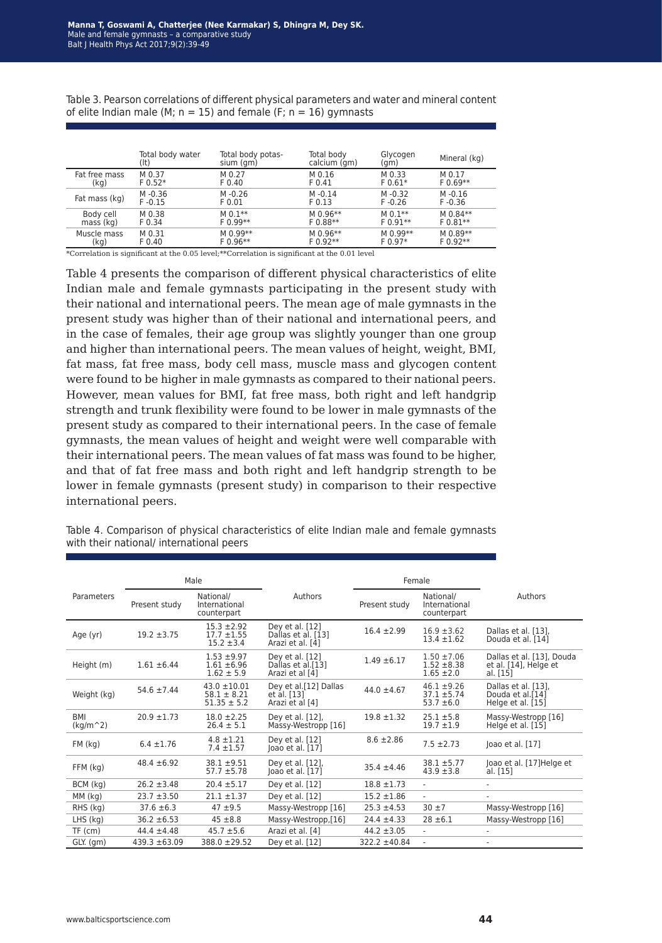|               | Total body water<br>(lt) | Total body potas-<br>sium (gm) | Total body<br>calcium (gm) | Glycogen<br>(gm) | Mineral (kg) |
|---------------|--------------------------|--------------------------------|----------------------------|------------------|--------------|
| Fat free mass | M 0.37                   | M 0.27                         | M 0.16                     | M 0.33           | M 0.17       |
| (kq)          | $F 0.52*$                | F 0.40                         | F 0.41                     | $F 0.61*$        | $F 0.69***$  |
| Fat mass (kg) | M-0.36                   | $M - 0.26$                     | $M - 0.14$                 | M-0.32           | $M - 0.16$   |
|               | $F - 0.15$               | F 0.01                         | $F$ 0.13                   | $F - 0.26$       | $F - 0.36$   |
| Body cell     | M 0.38                   | $M 0.1**$                      | $M$ 0.96 $**$              | $M 0.1**$        | M 0.84**     |
| mass (kg)     | F 0.34                   | $F 0.99**$                     | $F 0.88***$                | $F 0.91**$       | $F 0.81**$   |
| Muscle mass   | M 0.31                   | M 0.99**                       | $M$ 0.96 $**$              | M 0.99**         | M 0.89**     |
| (kg)          | F 0.40                   | $F 0.96**$                     | $F 0.92**$                 | $F 0.97*$        | $F 0.92**$   |

Table 3. Pearson correlations of different physical parameters and water and mineral content of elite Indian male (M;  $n = 15$ ) and female (F;  $n = 16$ ) gymnasts

\*Correlation is significant at the 0.05 level;\*\*Correlation is significant at the 0.01 level

Table 4 presents the comparison of different physical characteristics of elite Indian male and female gymnasts participating in the present study with their national and international peers. The mean age of male gymnasts in the present study was higher than of their national and international peers, and in the case of females, their age group was slightly younger than one group and higher than international peers. The mean values of height, weight, BMI, fat mass, fat free mass, body cell mass, muscle mass and glycogen content were found to be higher in male gymnasts as compared to their national peers. However, mean values for BMI, fat free mass, both right and left handgrip strength and trunk flexibility were found to be lower in male gymnasts of the present study as compared to their international peers. In the case of female gymnasts, the mean values of height and weight were well comparable with their international peers. The mean values of fat mass was found to be higher, and that of fat free mass and both right and left handgrip strength to be lower in female gymnasts (present study) in comparison to their respective international peers.

| Male                     |                   |                                                        | Female                                                    |                   |                                                      |                                                                |
|--------------------------|-------------------|--------------------------------------------------------|-----------------------------------------------------------|-------------------|------------------------------------------------------|----------------------------------------------------------------|
| Parameters               | Present study     | National/<br>International<br>counterpart              | Authors                                                   | Present study     | National/<br>International<br>counterpart            | Authors                                                        |
| Age (yr)                 | $19.2 \pm 3.75$   | $15.3 + 2.92$<br>$17.7 + 1.55$<br>$15.2 \pm 3.4$       | Dey et al. [12]<br>Dallas et al. [13]<br>Arazi et al. [4] | $16.4 \pm 2.99$   | $16.9 \pm 3.62$<br>$13.4 \pm 1.62$                   | Dallas et al. [13].<br>Douda et al. [14]                       |
| Height (m)               | $1.61 \pm 6.44$   | $1.53 + 9.97$<br>$1.61 + 6.96$<br>$1.62 \pm 5.9$       | Dey et al. [12]<br>Dallas et al.[13]<br>Arazi et al [4]   | $1.49 \pm 6.17$   | $1.50 \pm 7.06$<br>$1.52 \pm 8.38$<br>$1.65 \pm 2.0$ | Dallas et al. [13], Douda<br>et al. [14], Helge et<br>al. [15] |
| Weight (kg)              | $54.6 \pm 7.44$   | $43.0 \pm 10.01$<br>$58.1 \pm 8.21$<br>$51.35 \pm 5.2$ | Dey et al.[12] Dallas<br>et al. [13]<br>Arazi et al [4]   | $44.0 \pm 4.67$   | $46.1 + 9.26$<br>$37.1 \pm 5.74$<br>$53.7 \pm 6.0$   | Dallas et al. [13],<br>Douda et al.[14]<br>Helge et al. [15]   |
| <b>BMI</b><br>$(kq/m^2)$ | $20.9 \pm 1.73$   | $18.0 \pm 2.25$<br>$26.4 \pm 5.1$                      | Dey et al. [12],<br>Massy-Westropp [16]                   | $19.8 \pm 1.32$   | $25.1 \pm 5.8$<br>$19.7 \pm 1.9$                     | Massy-Westropp [16]<br>Helge et al. [15]                       |
| $FM$ ( $kq$ )            | $6.4 \pm 1.76$    | $4.8 \pm 1.21$<br>$7.4 \pm 1.57$                       | Dey et al. [12]<br>Joao et al. [17]                       | $8.6 \pm 2.86$    | $7.5 \pm 2.73$                                       | Joao et al. [17]                                               |
| FFM (kg)                 | $48.4 \pm 6.92$   | $38.1 + 9.51$<br>$57.7 \pm 5.78$                       | Dey et al. [12],<br>loao et al. [17]                      | $35.4 \pm 4.46$   | $38.1 + 5.77$<br>$43.9 \pm 3.8$                      | Joao et al. [17] Helge et<br>al. [15]                          |
| BCM (kg)                 | $26.2 \pm 3.48$   | $20.4 \pm 5.17$                                        | Dey et al. [12]                                           | $18.8 \pm 1.73$   | $\sim$                                               |                                                                |
| MM (kg)                  | $23.7 + 3.50$     | $21.1 \pm 1.37$                                        | Dey et al. [12]                                           | $15.2 \pm 1.86$   | $\sim$                                               |                                                                |
| RHS (kg)                 | $37.6 \pm 6.3$    | $47 + 9.5$                                             | Massy-Westropp [16]                                       | $25.3 \pm 4.53$   | $30 + 7$                                             | Massy-Westropp [16]                                            |
| LHS (kg)                 | $36.2 \pm 6.53$   | $45 \pm 8.8$                                           | Massy-Westropp,[16]                                       | $24.4 \pm 4.33$   | $28 \pm 6.1$                                         | Massy-Westropp [16]                                            |
| $TF$ (cm)                | $44.4 \pm 4.48$   | $45.7 \pm 5.6$                                         | Arazi et al. [4]                                          | $44.2 \pm 3.05$   |                                                      |                                                                |
| GLY. (gm)                | $439.3 \pm 63.09$ | 388.0 ± 29.52                                          | Dey et al. [12]                                           | $322.2 \pm 40.84$ | $\sim$                                               |                                                                |

Table 4. Comparison of physical characteristics of elite Indian male and female gymnasts with their national/ international peers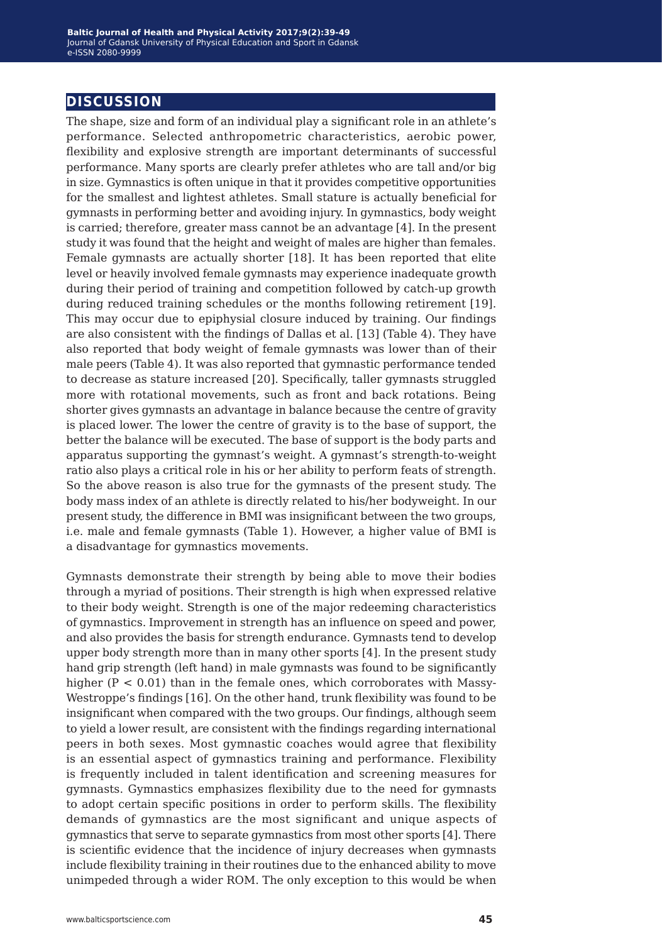## **discussion**

The shape, size and form of an individual play a significant role in an athlete's performance. Selected anthropometric characteristics, aerobic power, flexibility and explosive strength are important determinants of successful performance. Many sports are clearly prefer athletes who are tall and/or big in size. Gymnastics is often unique in that it provides competitive opportunities for the smallest and lightest athletes. Small stature is actually beneficial for gymnasts in performing better and avoiding injury. In gymnastics, body weight is carried; therefore, greater mass cannot be an advantage [4]. In the present study it was found that the height and weight of males are higher than females. Female gymnasts are actually shorter [18]. It has been reported that elite level or heavily involved female gymnasts may experience inadequate growth during their period of training and competition followed by catch-up growth during reduced training schedules or the months following retirement [19]. This may occur due to epiphysial closure induced by training. Our findings are also consistent with the findings of Dallas et al. [13] (Table 4). They have also reported that body weight of female gymnasts was lower than of their male peers (Table 4). It was also reported that gymnastic performance tended to decrease as stature increased [20]. Specifically, taller gymnasts struggled more with rotational movements, such as front and back rotations. Being shorter gives gymnasts an advantage in balance because the centre of gravity is placed lower. The lower the centre of gravity is to the base of support, the better the balance will be executed. The base of support is the body parts and apparatus supporting the gymnast's weight. A gymnast's strength-to-weight ratio also plays a critical role in his or her ability to perform feats of strength. So the above reason is also true for the gymnasts of the present study. The body mass index of an athlete is directly related to his/her bodyweight. In our present study, the difference in BMI was insignificant between the two groups, i.e. male and female gymnasts (Table 1). However, a higher value of BMI is a disadvantage for gymnastics movements.

Gymnasts demonstrate their strength by being able to move their bodies through a myriad of positions. Their strength is high when expressed relative to their body weight. Strength is one of the major redeeming characteristics of gymnastics. Improvement in strength has an influence on speed and power, and also provides the basis for strength endurance. Gymnasts tend to develop upper body strength more than in many other sports [4]. In the present study hand grip strength (left hand) in male gymnasts was found to be significantly higher  $(P < 0.01)$  than in the female ones, which corroborates with Massy-Westroppe's findings [16]. On the other hand, trunk flexibility was found to be insignificant when compared with the two groups. Our findings, although seem to yield a lower result, are consistent with the findings regarding international peers in both sexes. Most gymnastic coaches would agree that flexibility is an essential aspect of gymnastics training and performance. Flexibility is frequently included in talent identification and screening measures for gymnasts. Gymnastics emphasizes flexibility due to the need for gymnasts to adopt certain specific positions in order to perform skills. The flexibility demands of gymnastics are the most significant and unique aspects of gymnastics that serve to separate gymnastics from most other sports [4]. There is scientific evidence that the incidence of injury decreases when gymnasts include flexibility training in their routines due to the enhanced ability to move unimpeded through a wider ROM. The only exception to this would be when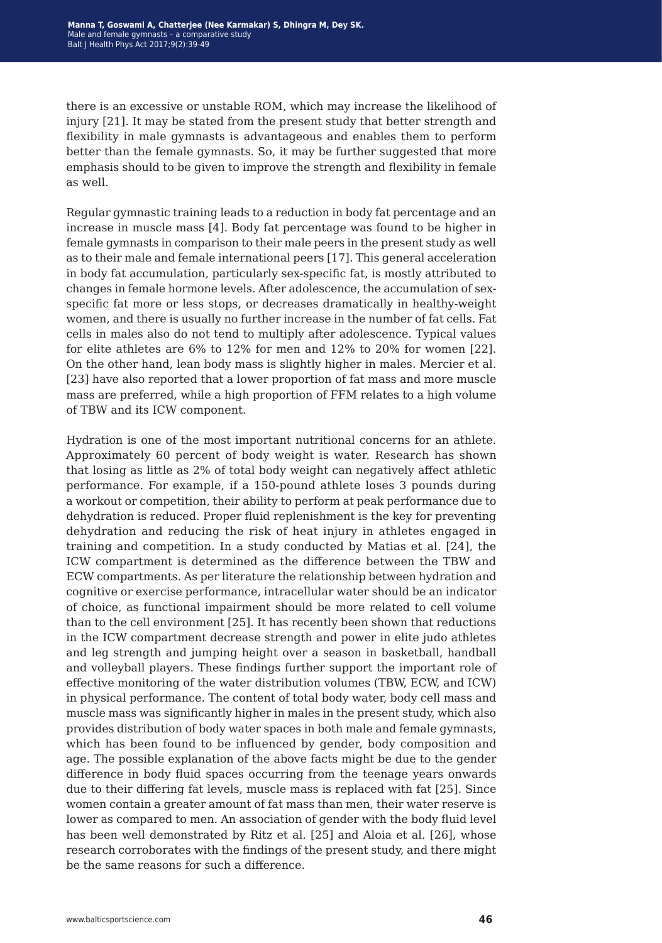there is an excessive or unstable ROM, which may increase the likelihood of injury [21]. It may be stated from the present study that better strength and flexibility in male gymnasts is advantageous and enables them to perform better than the female gymnasts. So, it may be further suggested that more emphasis should to be given to improve the strength and flexibility in female as well.

Regular gymnastic training leads to a reduction in body fat percentage and an increase in muscle mass [4]. Body fat percentage was found to be higher in female gymnasts in comparison to their male peers in the present study as well as to their male and female international peers [17]. This general acceleration in body fat accumulation, particularly sex-specific fat, is mostly attributed to changes in female hormone levels. After adolescence, the accumulation of sexspecific fat more or less stops, or decreases dramatically in healthy-weight women, and there is usually no further increase in the number of fat cells. Fat cells in males also do not tend to multiply after adolescence. Typical values for elite athletes are 6% to 12% for men and 12% to 20% for women [22]. On the other hand, lean body mass is slightly higher in males. Mercier et al. [23] have also reported that a lower proportion of fat mass and more muscle mass are preferred, while a high proportion of FFM relates to a high volume of TBW and its ICW component.

Hydration is one of the most important nutritional concerns for an athlete. Approximately 60 percent of body weight is water. Research has shown that losing as little as 2% of total body weight can negatively affect athletic performance. For example, if a 150-pound athlete loses 3 pounds during a workout or competition, their ability to perform at peak performance due to dehydration is reduced. Proper fluid replenishment is the key for preventing dehydration and reducing the risk of heat injury in athletes engaged in training and competition. In a study conducted by Matias et al. [24], the ICW compartment is determined as the difference between the TBW and ECW compartments. As per literature the relationship between hydration and cognitive or exercise performance, intracellular water should be an indicator of choice, as functional impairment should be more related to cell volume than to the cell environment [25]. It has recently been shown that reductions in the ICW compartment decrease strength and power in elite judo athletes and leg strength and jumping height over a season in basketball, handball and volleyball players. These findings further support the important role of effective monitoring of the water distribution volumes (TBW, ECW, and ICW) in physical performance. The content of total body water, body cell mass and muscle mass was significantly higher in males in the present study, which also provides distribution of body water spaces in both male and female gymnasts, which has been found to be influenced by gender, body composition and age. The possible explanation of the above facts might be due to the gender difference in body fluid spaces occurring from the teenage years onwards due to their differing fat levels, muscle mass is replaced with fat [25]. Since women contain a greater amount of fat mass than men, their water reserve is lower as compared to men. An association of gender with the body fluid level has been well demonstrated by Ritz et al. [25] and Aloia et al. [26], whose research corroborates with the findings of the present study, and there might be the same reasons for such a difference.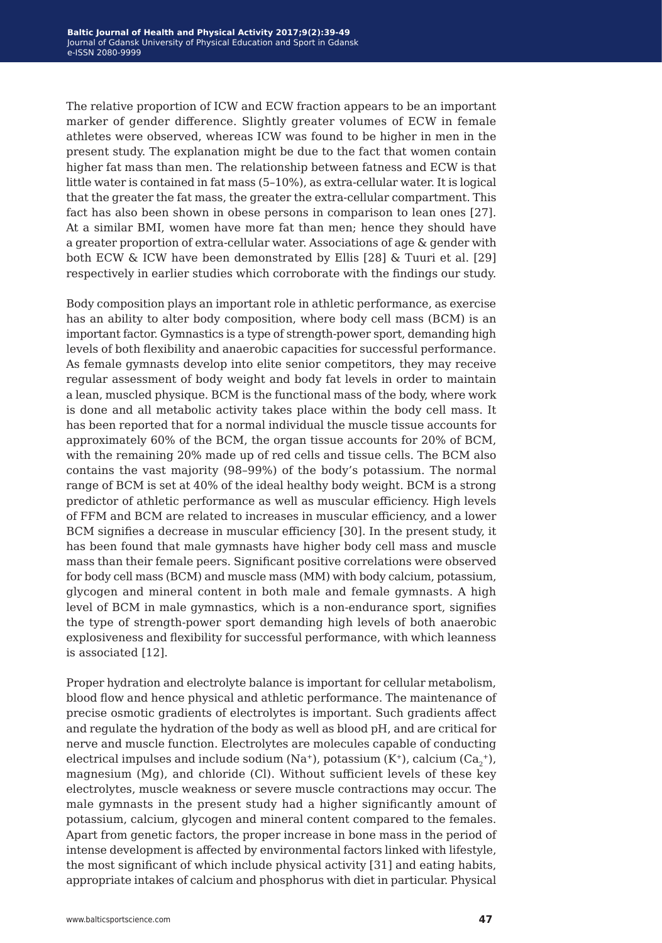The relative proportion of ICW and ECW fraction appears to be an important marker of gender difference. Slightly greater volumes of ECW in female athletes were observed, whereas ICW was found to be higher in men in the present study. The explanation might be due to the fact that women contain higher fat mass than men. The relationship between fatness and ECW is that little water is contained in fat mass (5–10%), as extra-cellular water. It is logical that the greater the fat mass, the greater the extra-cellular compartment. This fact has also been shown in obese persons in comparison to lean ones [27]. At a similar BMI, women have more fat than men; hence they should have a greater proportion of extra-cellular water. Associations of age & gender with both ECW & ICW have been demonstrated by Ellis [28] & Tuuri et al. [29] respectively in earlier studies which corroborate with the findings our study.

Body composition plays an important role in athletic performance, as exercise has an ability to alter body composition, where body cell mass (BCM) is an important factor. Gymnastics is a type of strength-power sport, demanding high levels of both flexibility and anaerobic capacities for successful performance. As female gymnasts develop into elite senior competitors, they may receive regular assessment of body weight and body fat levels in order to maintain a lean, muscled physique. BCM is the functional mass of the body, where work is done and all metabolic activity takes place within the body cell mass. It has been reported that for a normal individual the muscle tissue accounts for approximately 60% of the BCM, the organ tissue accounts for 20% of BCM, with the remaining 20% made up of red cells and tissue cells. The BCM also contains the vast majority (98–99%) of the body's potassium. The normal range of BCM is set at 40% of the ideal healthy body weight. BCM is a strong predictor of athletic performance as well as muscular efficiency. High levels of FFM and BCM are related to increases in muscular efficiency, and a lower BCM signifies a decrease in muscular efficiency [30]. In the present study, it has been found that male gymnasts have higher body cell mass and muscle mass than their female peers. Significant positive correlations were observed for body cell mass (BCM) and muscle mass (MM) with body calcium, potassium, glycogen and mineral content in both male and female gymnasts. A high level of BCM in male gymnastics, which is a non-endurance sport, signifies the type of strength-power sport demanding high levels of both anaerobic explosiveness and flexibility for successful performance, with which leanness is associated [12].

Proper hydration and electrolyte balance is important for cellular metabolism, blood flow and hence physical and athletic performance. The maintenance of precise osmotic gradients of electrolytes is important. Such gradients affect and regulate the hydration of the body as well as blood pH, and are critical for nerve and muscle function. Electrolytes are molecules capable of conducting electrical impulses and include sodium (Na+), potassium (K+), calcium (Ca $_2^{\text{+}}$ ), magnesium (Mg), and chloride (Cl). Without sufficient levels of these key electrolytes, muscle weakness or severe muscle contractions may occur. The male gymnasts in the present study had a higher significantly amount of potassium, calcium, glycogen and mineral content compared to the females. Apart from genetic factors, the proper increase in bone mass in the period of intense development is affected by environmental factors linked with lifestyle, the most significant of which include physical activity [31] and eating habits, appropriate intakes of calcium and phosphorus with diet in particular. Physical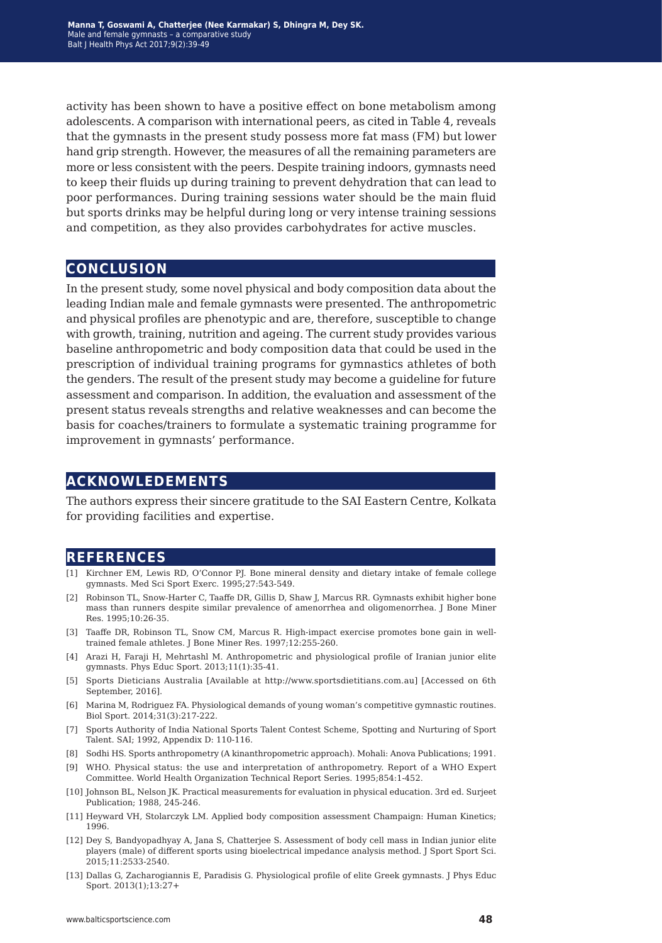activity has been shown to have a positive effect on bone metabolism among adolescents. A comparison with international peers, as cited in Table 4, reveals that the gymnasts in the present study possess more fat mass (FM) but lower hand grip strength. However, the measures of all the remaining parameters are more or less consistent with the peers. Despite training indoors, gymnasts need to keep their fluids up during training to prevent dehydration that can lead to poor performances. During training sessions water should be the main fluid but sports drinks may be helpful during long or very intense training sessions and competition, as they also provides carbohydrates for active muscles.

## **conclusion**

In the present study, some novel physical and body composition data about the leading Indian male and female gymnasts were presented. The anthropometric and physical profiles are phenotypic and are, therefore, susceptible to change with growth, training, nutrition and ageing. The current study provides various baseline anthropometric and body composition data that could be used in the prescription of individual training programs for gymnastics athletes of both the genders. The result of the present study may become a guideline for future assessment and comparison. In addition, the evaluation and assessment of the present status reveals strengths and relative weaknesses and can become the basis for coaches/trainers to formulate a systematic training programme for improvement in gymnasts' performance.

## **acknowledements**

The authors express their sincere gratitude to the SAI Eastern Centre, Kolkata for providing facilities and expertise.

## **references**

- [1] Kirchner EM, Lewis RD, O'Connor PJ. Bone mineral density and dietary intake of female college gymnasts. Med Sci Sport Exerc. 1995;27:543-549.
- [2] Robinson TL, Snow-Harter C, Taaffe DR, Gillis D, Shaw J, Marcus RR. Gymnasts exhibit higher bone mass than runners despite similar prevalence of amenorrhea and oligomenorrhea. J Bone Miner Res. 1995;10:26-35.
- [3] Taaffe DR, Robinson TL, Snow CM, Marcus R. High-impact exercise promotes bone gain in welltrained female athletes. J Bone Miner Res. 1997;12:255-260.
- [4] Arazi H, Faraji H, Mehrtashl M. Anthropometric and physiological profile of Iranian junior elite gymnasts. Phys Educ Sport. 2013;11(1):35-41.
- [5] Sports Dieticians Australia [Available at http://www.sportsdietitians.com.au] [Accessed on 6th September, 2016].
- [6] Marina M, Rodriguez FA. Physiological demands of young woman's competitive gymnastic routines. Biol Sport. 2014;31(3):217-222.
- [7] Sports Authority of India National Sports Talent Contest Scheme, Spotting and Nurturing of Sport Talent. SAI; 1992, Appendix D: 110-116.
- [8] Sodhi HS. Sports anthropometry (A kinanthropometric approach). Mohali: Anova Publications; 1991.
- [9] WHO. Physical status: the use and interpretation of anthropometry. Report of a WHO Expert Committee. World Health Organization Technical Report Series. 1995;854:1-452.
- [10] Johnson BL, Nelson JK. Practical measurements for evaluation in physical education. 3rd ed. Surjeet Publication; 1988, 245-246.
- [11] Heyward VH, Stolarczyk LM. Applied body composition assessment Champaign: Human Kinetics; 1996.
- [12] Dey S, Bandyopadhyay A, Jana S, Chatterjee S. Assessment of body cell mass in Indian junior elite players (male) of different sports using bioelectrical impedance analysis method. J Sport Sport Sci. 2015;11:2533-2540.
- [13] Dallas G, Zacharogiannis E, Paradisis G. Physiological profile of elite Greek gymnasts. J Phys Educ Sport. 2013(1);13:27+